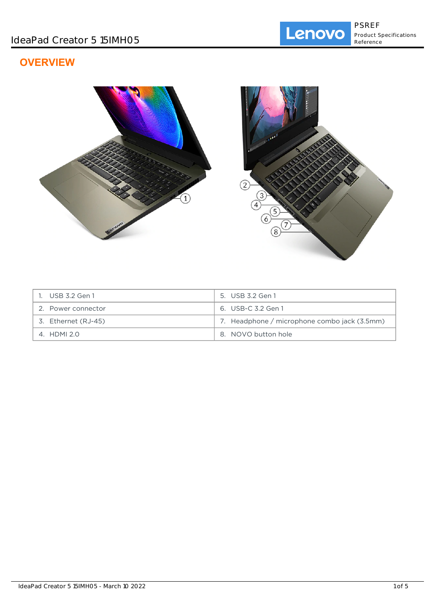# **OVERVIEW**



| . USB 3.2 Gen 1     | 5. USB 3.2 Gen 1                             |
|---------------------|----------------------------------------------|
| 2. Power connector  | 6. USB-C 3.2 Gen 1                           |
| 3. Ethernet (RJ-45) | 7. Headphone / microphone combo jack (3.5mm) |
| 4. HDMI 2.0         | 8. NOVO button hole                          |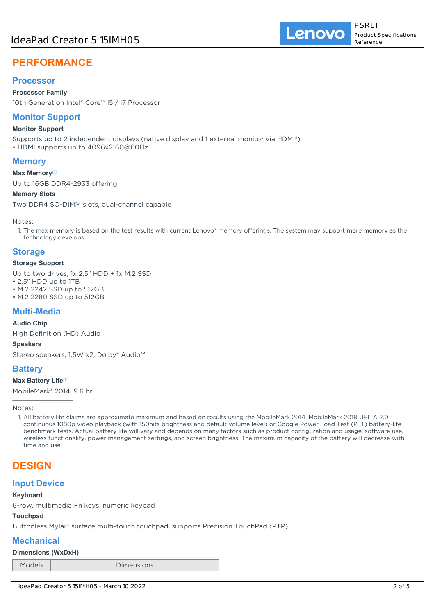## **Processor**

**Processor Family**

10th Generation Intel® Core™ i5 / i7 Processor

# **Monitor Support**

### **Monitor Support**

Supports up to 2 independent displays (native display and 1 external monitor via HDMI®) • HDMI supports up to 4096x2160@60Hz

# **Memory**

**Max Memory**[1]

Up to 16GB DDR4-2933 offering

### **Memory Slots**

Two DDR4 SO-DIMM slots, dual-channel capable

Notes:

1. The max memory is based on the test results with current Lenovo® memory offerings. The system may support more memory as the technology develops.

# **Storage**

### **Storage Support**

Up to two drives, 1x 2.5" HDD + 1x M.2 SSD

• 2.5" HDD up to 1TB

- M.2 2242 SSD up to 512GB
- M.2 2280 SSD up to 512GB

# **Multi-Media**

### **Audio Chip**

High Definition (HD) Audio

**Speakers**

Stereo speakers, 1.5W x2, Dolby® Audio™

# **Battery**

### **Max Battery Life**[1]

MobileMark® 2014: 9.6 hr

Notes:

1. All battery life claims are approximate maximum and based on results using the MobileMark 2014, MobileMark 2018, JEITA 2.0, continuous 1080p video playback (with 150nits brightness and default volume level) or Google Power Load Test (PLT) battery-life benchmark tests. Actual battery life will vary and depends on many factors such as product configuration and usage, software use, wireless functionality, power management settings, and screen brightness. The maximum capacity of the battery will decrease with time and use.

# **DESIGN**

# **Input Device**

### **Keyboard**

6-row, multimedia Fn keys, numeric keypad

## **Touchpad**

Buttonless Mylar® surface multi-touch touchpad, supports Precision TouchPad (PTP)

# **Mechanical**

### **Dimensions (WxDxH)**

Models Dimensions

Lenovo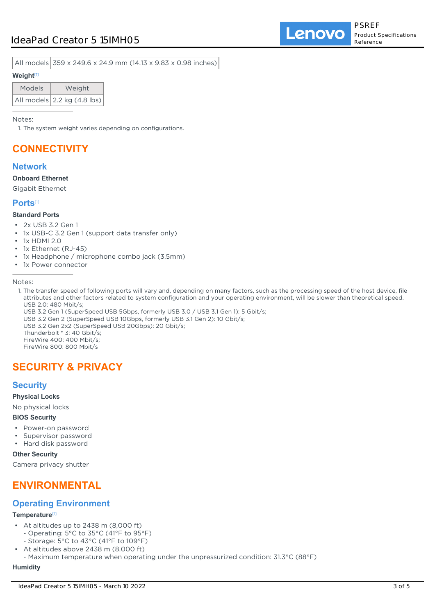All models 359 x 249.6 x 24.9 mm (14.13 x 9.83 x 0.98 inches)

### **Weight**[1]

| Models | Weight                      |
|--------|-----------------------------|
|        | All models 2.2 kg (4.8 lbs) |

Notes:

1. The system weight varies depending on configurations.

# **CONNECTIVITY**

## **Network**

**Onboard Ethernet**

Gigabit Ethernet

### **Ports**[1]

### **Standard Ports**

- 2x USB 3.2 Gen 1
- 1x USB-C 3.2 Gen 1 (support data transfer only)
- 1x HDMI 2.0
- 1x Ethernet (RJ-45)
- 1x Headphone / microphone combo jack (3.5mm)
- 1x Power connector

Notes:

- 1. The transfer speed of following ports will vary and, depending on many factors, such as the processing speed of the host device, file attributes and other factors related to system configuration and your operating environment, will be slower than theoretical speed. USB 2.0: 480 Mbit/s;
- USB 3.2 Gen 1 (SuperSpeed USB 5Gbps, formerly USB 3.0 / USB 3.1 Gen 1): 5 Gbit/s;
- USB 3.2 Gen 2 (SuperSpeed USB 10Gbps, formerly USB 3.1 Gen 2): 10 Gbit/s;
- USB 3.2 Gen 2x2 (SuperSpeed USB 20Gbps): 20 Gbit/s;

Thunderbolt™ 3: 40 Gbit/s;

FireWire 400: 400 Mbit/s;

# FireWire 800: 800 Mbit/s

# **SECURITY & PRIVACY**

## **Security**

**Physical Locks**

# No physical locks

### **BIOS Security**

- Power-on password
- Supervisor password
- Hard disk password

**Other Security**

Camera privacy shutter

# **ENVIRONMENTAL**

# **Operating Environment**

### **Temperature**[1]

- At altitudes up to 2438 m (8,000 ft) - Operating: 5°C to 35°C (41°F to 95°F)
	- Storage: 5°C to 43°C (41°F to 109°F)
- At altitudes above 2438 m (8,000 ft) - Maximum temperature when operating under the unpressurized condition: 31.3°C (88°F) •

### **Humidity**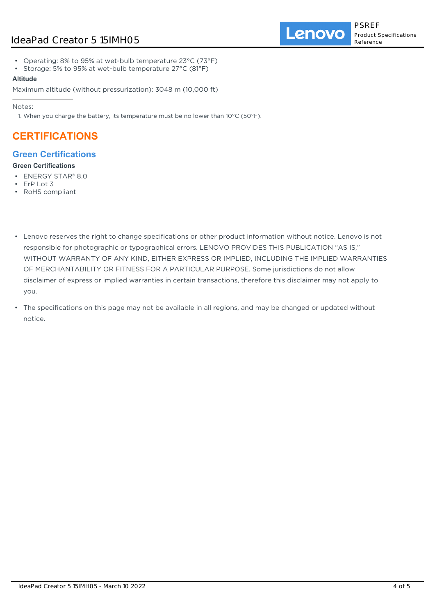Lenovo

- Operating: 8% to 95% at wet-bulb temperature 23°C (73°F)
- Storage: 5% to 95% at wet-bulb temperature 27°C (81°F)

### **Altitude**

Maximum altitude (without pressurization): 3048 m (10,000 ft)

Notes:

1. When you charge the battery, its temperature must be no lower than 10°C (50°F).

# **CERTIFICATIONS**

# **Green Certifications**

### **Green Certifications**

- ENERGY STAR® 8.0
- ErP Lot 3
- RoHS compliant
- Lenovo reserves the right to change specifications or other product information without notice. Lenovo is not responsible for photographic or typographical errors. LENOVO PROVIDES THIS PUBLICATION "AS IS," WITHOUT WARRANTY OF ANY KIND, EITHER EXPRESS OR IMPLIED, INCLUDING THE IMPLIED WARRANTIES OF MERCHANTABILITY OR FITNESS FOR A PARTICULAR PURPOSE. Some jurisdictions do not allow disclaimer of express or implied warranties in certain transactions, therefore this disclaimer may not apply to you.
- The specifications on this page may not be available in all regions, and may be changed or updated without notice.